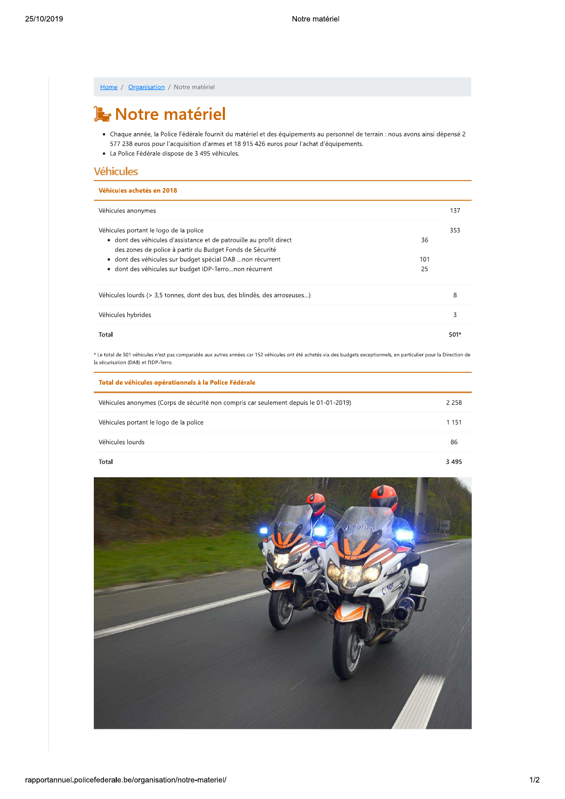| Home / Organisation / Notre matériel                                                                                                                                                                                                                                           |           |         |  |  |
|--------------------------------------------------------------------------------------------------------------------------------------------------------------------------------------------------------------------------------------------------------------------------------|-----------|---------|--|--|
| Notre matériel                                                                                                                                                                                                                                                                 |           |         |  |  |
| • Chaque année, la Police Fédérale fournit du matériel et des équipements au personnel de terrain : nous avons ainsi dépensé 2<br>577 238 euros pour l'acquisition d'armes et 18 915 426 euros pour l'achat d'équipements.<br>· La Police Fédérale dispose de 3 495 véhicules. |           |         |  |  |
| <b>Véhicules</b>                                                                                                                                                                                                                                                               |           |         |  |  |
| Véhicules achetés en 2018                                                                                                                                                                                                                                                      |           |         |  |  |
| Véhicules anonymes                                                                                                                                                                                                                                                             |           | 137     |  |  |
| Véhicules portant le logo de la police<br>· dont des véhicules d'assistance et de patrouille au profit direct<br>des zones de police à partir du Budget Fonds de Sécurité                                                                                                      | 36        | 353     |  |  |
| · dont des véhicules sur budget spécial DAB non récurrent<br>· dont des véhicules sur budget IDP-Terronon récurrent                                                                                                                                                            | 101<br>25 |         |  |  |
| Véhicules lourds (> 3,5 tonnes, dont des bus, des blindés, des arroseuses)                                                                                                                                                                                                     |           | 8       |  |  |
| Véhicules hybrides                                                                                                                                                                                                                                                             |           | 3       |  |  |
| Total                                                                                                                                                                                                                                                                          |           | 501*    |  |  |
| * Le total de 501 véhicules n'est pas comparable aux autres années car 152 véhicules ont été achetés via des budgets exceptionnels, en particulier pour la Direction d<br>la sécurisation (DAB) et l'IDP-Terro.                                                                |           |         |  |  |
| Total de véhicules opérationnels à la Police Fédérale                                                                                                                                                                                                                          |           |         |  |  |
| Véhicules anonymes (Corps de sécurité non compris car seulement depuis le 01-01-2019)                                                                                                                                                                                          |           | 2 2 5 8 |  |  |
| Véhicules portant le logo de la police                                                                                                                                                                                                                                         |           | 1 1 5 1 |  |  |
| Véhicules lourds                                                                                                                                                                                                                                                               |           | 86      |  |  |
|                                                                                                                                                                                                                                                                                |           |         |  |  |

Total